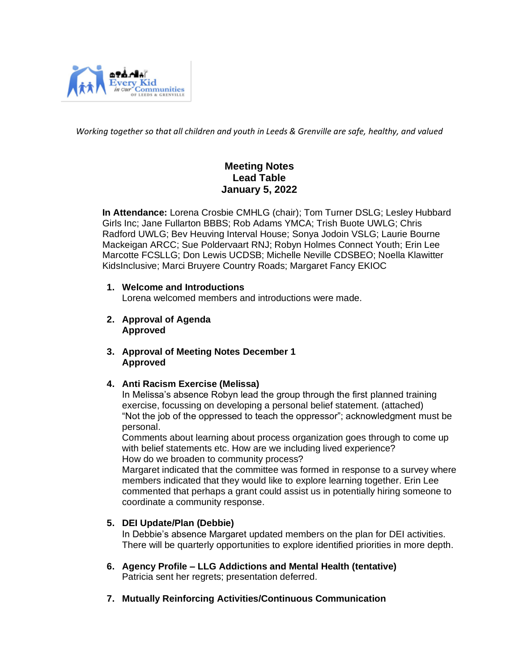

*Working together so that all children and youth in Leeds & Grenville are safe, healthy, and valued*

# **Meeting Notes Lead Table January 5, 2022**

 **In Attendance:** Lorena Crosbie CMHLG (chair); Tom Turner DSLG; Lesley Hubbard Girls Inc; Jane Fullarton BBBS; Rob Adams YMCA; Trish Buote UWLG; Chris Radford UWLG; Bev Heuving Interval House; Sonya Jodoin VSLG; Laurie Bourne Mackeigan ARCC; Sue Poldervaart RNJ; Robyn Holmes Connect Youth; Erin Lee Marcotte FCSLLG; Don Lewis UCDSB; Michelle Neville CDSBEO; Noella Klawitter KidsInclusive; Marci Bruyere Country Roads; Margaret Fancy EKIOC

### **1. Welcome and Introductions**

Lorena welcomed members and introductions were made.

- **2. Approval of Agenda Approved**
- **3. Approval of Meeting Notes December 1 Approved**

# **4. Anti Racism Exercise (Melissa)**

In Melissa's absence Robyn lead the group through the first planned training exercise, focussing on developing a personal belief statement. (attached) "Not the job of the oppressed to teach the oppressor"; acknowledgment must be personal.

Comments about learning about process organization goes through to come up with belief statements etc. How are we including lived experience? How do we broaden to community process?

Margaret indicated that the committee was formed in response to a survey where members indicated that they would like to explore learning together. Erin Lee commented that perhaps a grant could assist us in potentially hiring someone to coordinate a community response.

# **5. DEI Update/Plan (Debbie)**

In Debbie's absence Margaret updated members on the plan for DEI activities. There will be quarterly opportunities to explore identified priorities in more depth.

- **6. Agency Profile – LLG Addictions and Mental Health (tentative)** Patricia sent her regrets; presentation deferred.
- **7. Mutually Reinforcing Activities/Continuous Communication**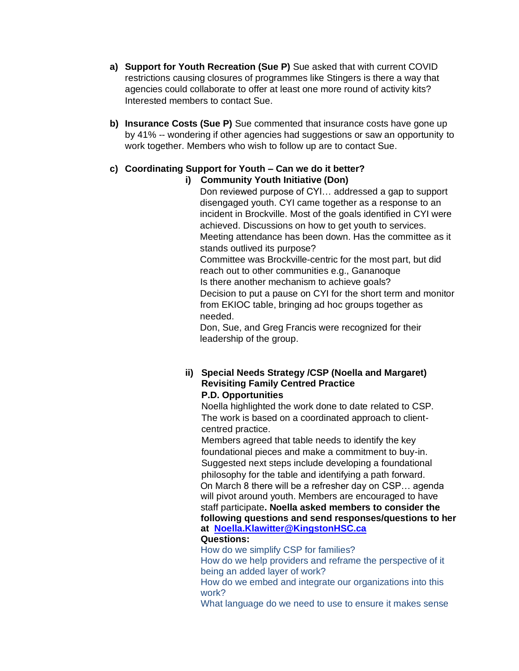- **a) Support for Youth Recreation (Sue P)** Sue asked that with current COVID restrictions causing closures of programmes like Stingers is there a way that agencies could collaborate to offer at least one more round of activity kits? Interested members to contact Sue.
- **b) Insurance Costs (Sue P)** Sue commented that insurance costs have gone up by 41% -- wondering if other agencies had suggestions or saw an opportunity to work together. Members who wish to follow up are to contact Sue.

# **c) Coordinating Support for Youth – Can we do it better?**

**i) Community Youth Initiative (Don)**

Don reviewed purpose of CYI… addressed a gap to support disengaged youth. CYI came together as a response to an incident in Brockville. Most of the goals identified in CYI were achieved. Discussions on how to get youth to services. Meeting attendance has been down. Has the committee as it stands outlived its purpose? Committee was Brockville-centric for the most part, but did reach out to other communities e.g., Gananoque Is there another mechanism to achieve goals? Decision to put a pause on CYI for the short term and monitor from EKIOC table, bringing ad hoc groups together as needed.

Don, Sue, and Greg Francis were recognized for their leadership of the group.

### **ii) Special Needs Strategy /CSP (Noella and Margaret) Revisiting Family Centred Practice P.D. Opportunities**

Noella highlighted the work done to date related to CSP. The work is based on a coordinated approach to client centred practice.

 Members agreed that table needs to identify the key foundational pieces and make a commitment to buy-in. Suggested next steps include developing a foundational philosophy for the table and identifying a path forward. On March 8 there will be a refresher day on CSP… agenda will pivot around youth. Members are encouraged to have staff participate**. Noella asked members to consider the following questions and send responses/questions to her at [Noella.Klawitter@KingstonHSC.ca](mailto:Noella.Klawitter@KingstonHSC.ca)**

# **Questions:**

How do we simplify CSP for families?

How do we help providers and reframe the perspective of it being an added layer of work?

How do we embed and integrate our organizations into this work?

What language do we need to use to ensure it makes sense